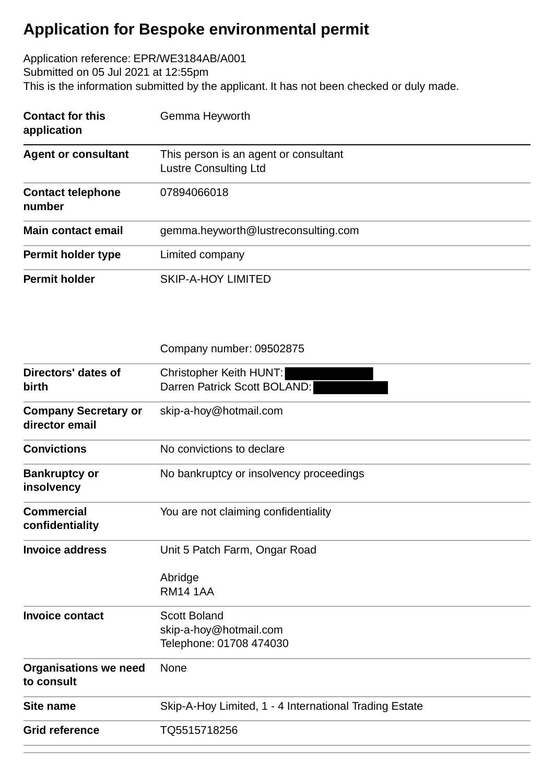## **Application for Bespoke environmental permit**

Application reference: EPR/WE3184AB/A001 Submitted on 05 Jul 2021 at 12:55pm This is the information submitted by the applicant. It has not been checked or duly made.

| <b>Contact for this</b><br>application | Gemma Heyworth                                                        |
|----------------------------------------|-----------------------------------------------------------------------|
| <b>Agent or consultant</b>             | This person is an agent or consultant<br><b>Lustre Consulting Ltd</b> |
| <b>Contact telephone</b><br>number     | 07894066018                                                           |
| Main contact email                     | gemma.heyworth@lustreconsulting.com                                   |
| Permit holder type                     | Limited company                                                       |
| <b>Permit holder</b>                   | <b>SKIP-A-HOY LIMITED</b>                                             |

|                                               | Company number: 09502875                                       |
|-----------------------------------------------|----------------------------------------------------------------|
| Directors' dates of<br>birth                  | <b>Christopher Keith HUNT:</b><br>Darren Patrick Scott BOLAND: |
| <b>Company Secretary or</b><br>director email | skip-a-hoy@hotmail.com                                         |
| <b>Convictions</b>                            | No convictions to declare                                      |
| <b>Bankruptcy or</b><br>insolvency            | No bankruptcy or insolvency proceedings                        |
| <b>Commercial</b><br>confidentiality          | You are not claiming confidentiality                           |
| <b>Invoice address</b>                        | Unit 5 Patch Farm, Ongar Road                                  |
|                                               | Abridge<br><b>RM14 1AA</b>                                     |
| <b>Invoice contact</b>                        | <b>Scott Boland</b>                                            |
|                                               | skip-a-hoy@hotmail.com<br>Telephone: 01708 474030              |
| <b>Organisations we need</b><br>to consult    | None                                                           |
| <b>Site name</b>                              | Skip-A-Hoy Limited, 1 - 4 International Trading Estate         |
| <b>Grid reference</b>                         | TQ5515718256                                                   |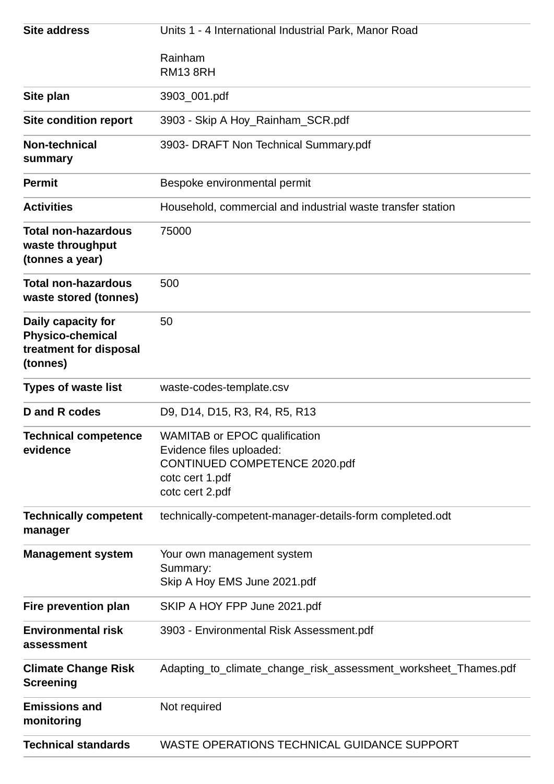| <b>Site address</b>                                                                 | Units 1 - 4 International Industrial Park, Manor Road                                                                                   |
|-------------------------------------------------------------------------------------|-----------------------------------------------------------------------------------------------------------------------------------------|
|                                                                                     | Rainham<br><b>RM13 8RH</b>                                                                                                              |
| Site plan                                                                           | 3903_001.pdf                                                                                                                            |
| <b>Site condition report</b>                                                        | 3903 - Skip A Hoy_Rainham_SCR.pdf                                                                                                       |
| <b>Non-technical</b><br>summary                                                     | 3903- DRAFT Non Technical Summary.pdf                                                                                                   |
| <b>Permit</b>                                                                       | Bespoke environmental permit                                                                                                            |
| <b>Activities</b>                                                                   | Household, commercial and industrial waste transfer station                                                                             |
| <b>Total non-hazardous</b><br>waste throughput<br>(tonnes a year)                   | 75000                                                                                                                                   |
| <b>Total non-hazardous</b><br>waste stored (tonnes)                                 | 500                                                                                                                                     |
| Daily capacity for<br><b>Physico-chemical</b><br>treatment for disposal<br>(tonnes) | 50                                                                                                                                      |
| <b>Types of waste list</b>                                                          | waste-codes-template.csv                                                                                                                |
| D and R codes                                                                       | D9, D14, D15, R3, R4, R5, R13                                                                                                           |
| <b>Technical competence</b><br>evidence                                             | <b>WAMITAB or EPOC qualification</b><br>Evidence files uploaded:<br>CONTINUED COMPETENCE 2020.pdf<br>cotc cert 1.pdf<br>cotc cert 2.pdf |
| <b>Technically competent</b><br>manager                                             | technically-competent-manager-details-form completed.odt                                                                                |
| <b>Management system</b>                                                            | Your own management system<br>Summary:<br>Skip A Hoy EMS June 2021.pdf                                                                  |
| Fire prevention plan                                                                | SKIP A HOY FPP June 2021.pdf                                                                                                            |
| <b>Environmental risk</b><br>assessment                                             | 3903 - Environmental Risk Assessment.pdf                                                                                                |
| <b>Climate Change Risk</b><br><b>Screening</b>                                      | Adapting_to_climate_change_risk_assessment_worksheet_Thames.pdf                                                                         |
| <b>Emissions and</b><br>monitoring                                                  | Not required                                                                                                                            |
| <b>Technical standards</b>                                                          | <b>WASTE OPERATIONS TECHNICAL GUIDANCE SUPPORT</b>                                                                                      |